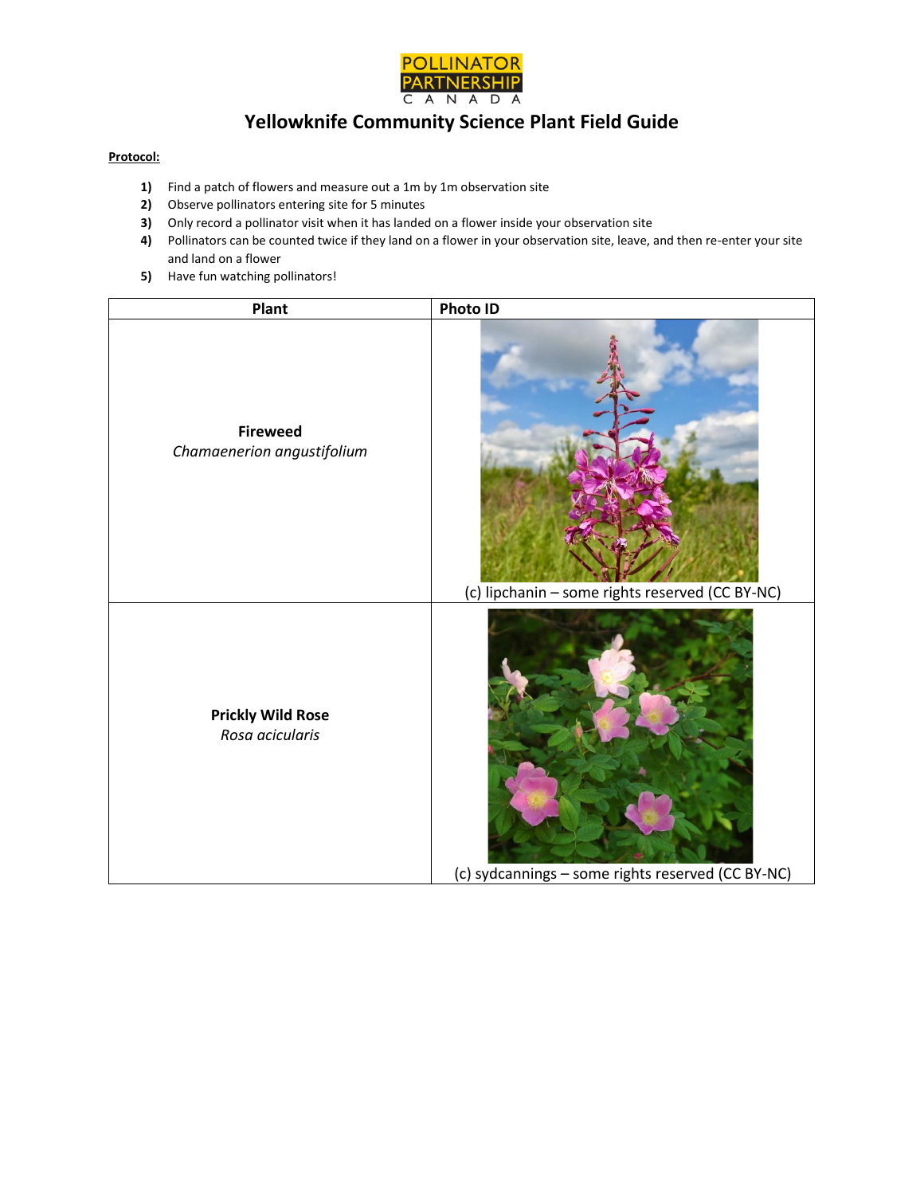

## **Yellowknife Community Science Plant Field Guide**

## **Protocol:**

- **1)** Find a patch of flowers and measure out a 1m by 1m observation site
- **2)** Observe pollinators entering site for 5 minutes
- **3)** Only record a pollinator visit when it has landed on a flower inside your observation site
- **4)** Pollinators can be counted twice if they land on a flower in your observation site, leave, and then re-enter your site and land on a flower
- **5)** Have fun watching pollinators!

| Plant                                         | Photo ID                                          |
|-----------------------------------------------|---------------------------------------------------|
| <b>Fireweed</b><br>Chamaenerion angustifolium | (c) lipchanin - some rights reserved (CC BY-NC)   |
| <b>Prickly Wild Rose</b><br>Rosa acicularis   | (c) sydcannings - some rights reserved (CC BY-NC) |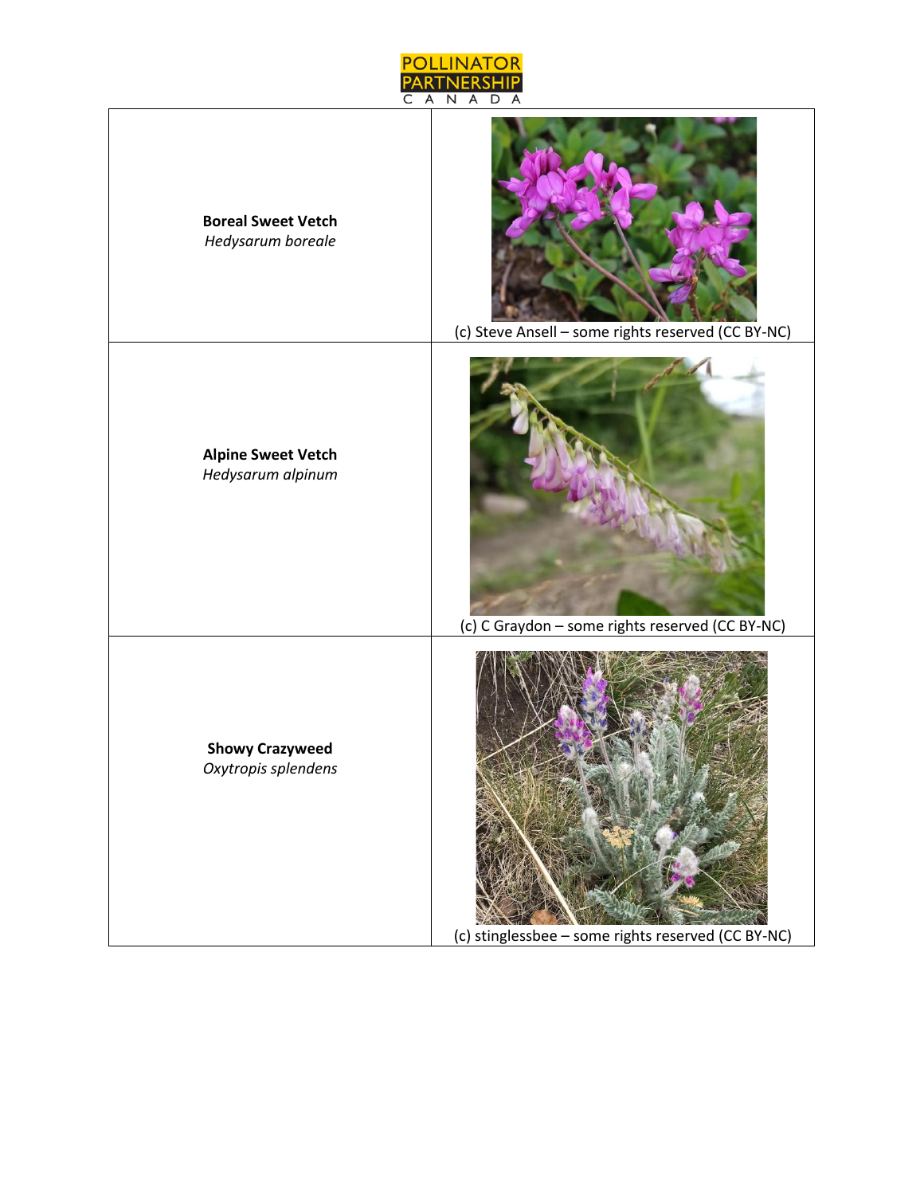

| <b>Boreal Sweet Vetch</b><br>Hedysarum boreale | (c) Steve Ansell - some rights reserved (CC BY-NC) |
|------------------------------------------------|----------------------------------------------------|
| <b>Alpine Sweet Vetch</b><br>Hedysarum alpinum | (c) C Graydon - some rights reserved (CC BY-NC)    |
| <b>Showy Crazyweed</b><br>Oxytropis splendens  | (c) stinglessbee - some rights reserved (CC BY-NC) |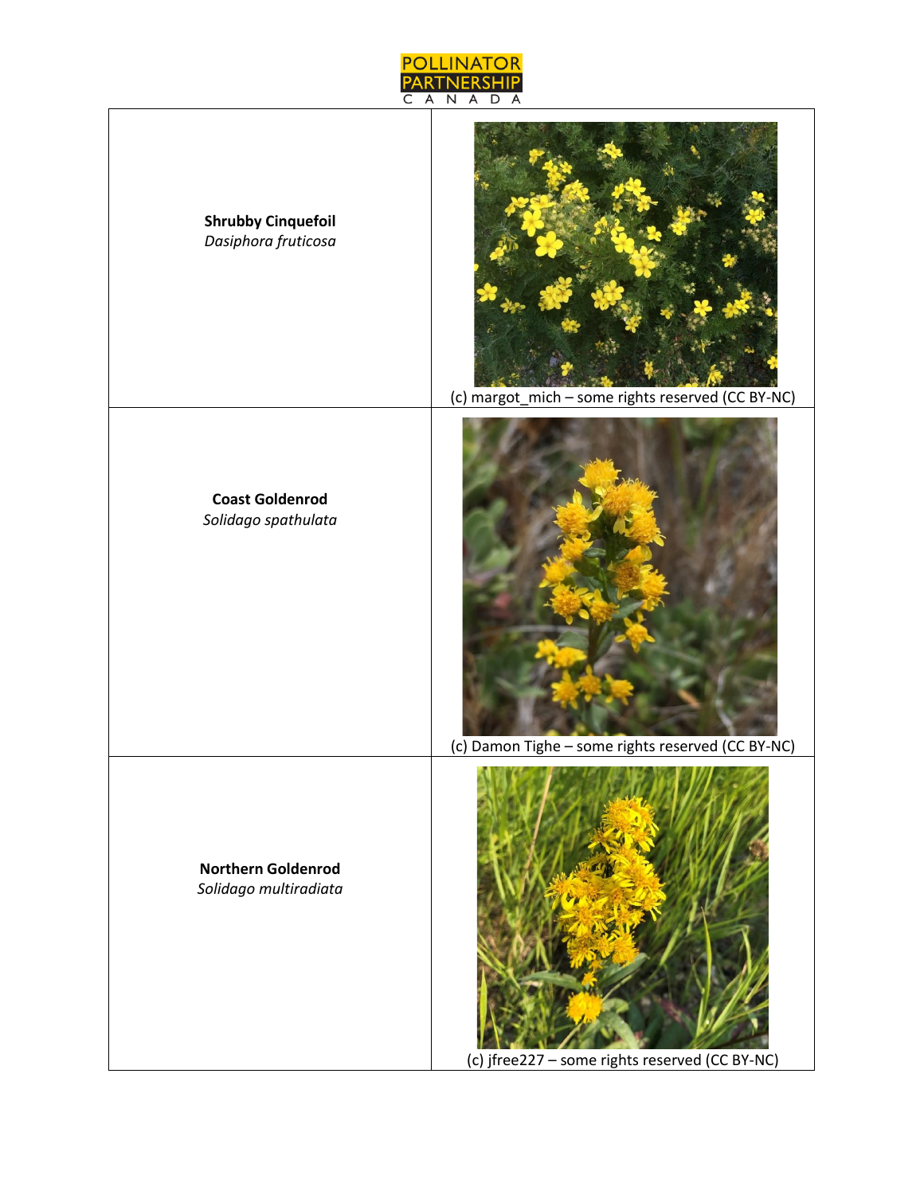

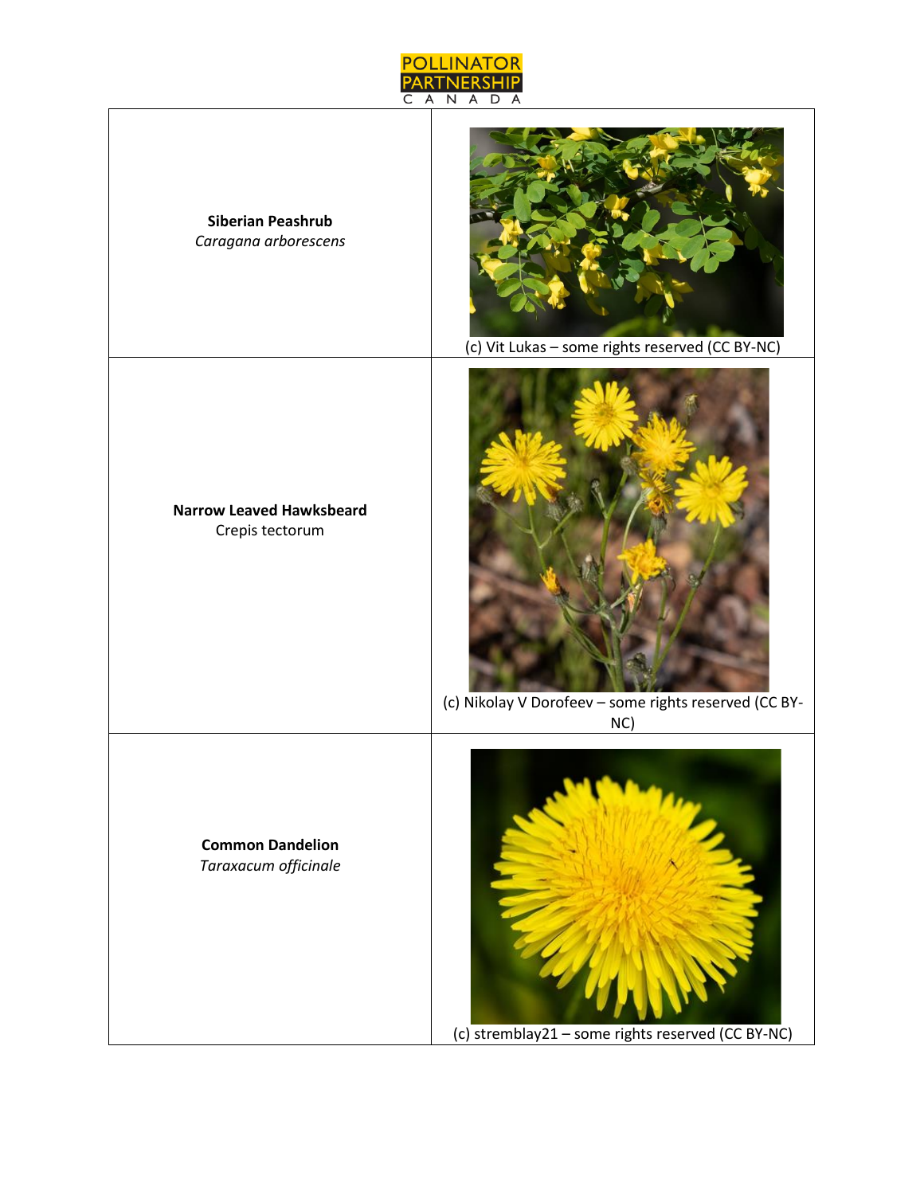

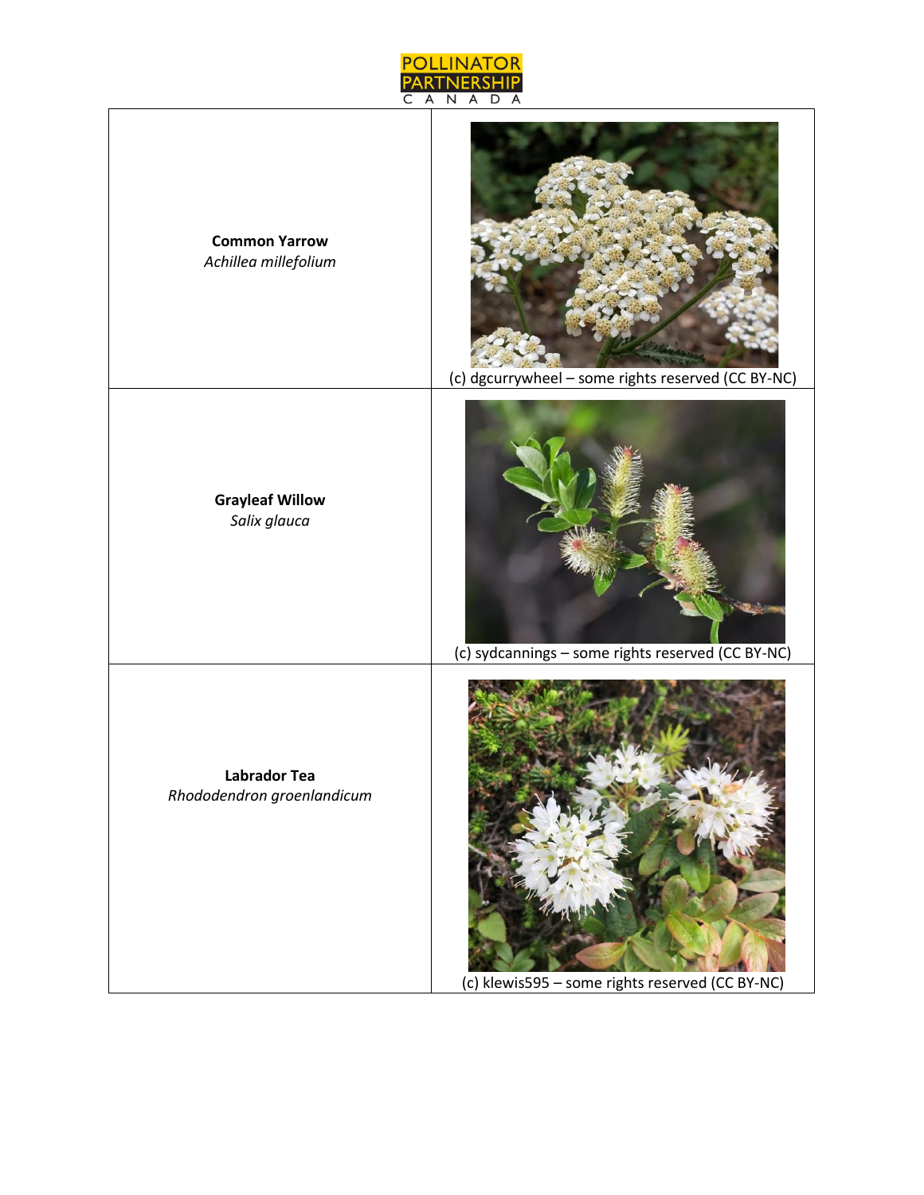

**Common Yarrow** *Achillea millefolium*

> **Grayleaf Willow** *Salix glauca*

**Labrador Tea** *Rhododendron groenlandicum*

(c) dgcurrywheel – some rights reserved (CC BY-NC)



(c) sydcannings – some rights reserved (CC BY-NC)



(c) klewis595 – some rights reserved (CC BY-NC)